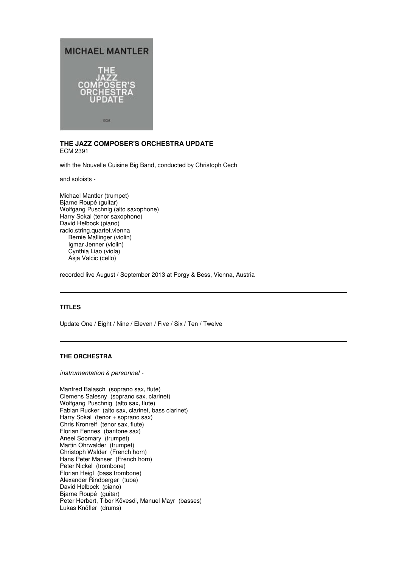

# **THE JAZZ COMPOSER'S ORCHESTRA UPDATE**  ECM 2391

with the Nouvelle Cuisine Big Band, conducted by Christoph Cech

and soloists -

Michael Mantler (trumpet) Bjarne Roupé (guitar) Wolfgang Puschnig (alto saxophone) Harry Sokal (tenor saxophone) David Helbock (piano) radio.string.quartet.vienna Bernie Mallinger (violin) Igmar Jenner (violin) Cynthia Liao (viola) Asja Valcic (cello)

recorded live August / September 2013 at Porgy & Bess, Vienna, Austria

# **TITLES**

Update One / Eight / Nine / Eleven / Five / Six / Ten / Twelve

# **THE ORCHESTRA**

instrumentation & personnel -

Manfred Balasch (soprano sax, flute) Clemens Salesny (soprano sax, clarinet) Wolfgang Puschnig (alto sax, flute) Fabian Rucker (alto sax, clarinet, bass clarinet) Harry Sokal (tenor + soprano sax) Chris Kronreif (tenor sax, flute) Florian Fennes (baritone sax) Aneel Soomary (trumpet) Martin Ohrwalder (trumpet) Christoph Walder (French horn) Hans Peter Manser (French horn) Peter Nickel (trombone) Florian Heigl (bass trombone) Alexander Rindberger (tuba) David Helbock (piano) Bjarne Roupé (guitar) Peter Herbert, Tibor Kövesdi, Manuel Mayr (basses) Lukas Knöfler (drums)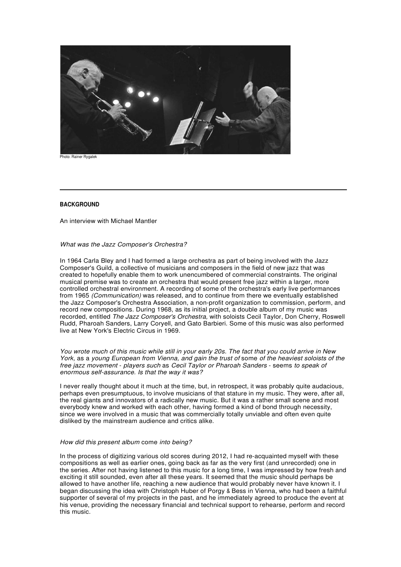

Photo: Rainer Rygalek

# **BACKGROUND**

An interview with Michael Mantler

#### What was the Jazz Composer's Orchestra?

In 1964 Carla Bley and I had formed a large orchestra as part of being involved with the Jazz Composer's Guild, a collective of musicians and composers in the field of new jazz that was created to hopefully enable them to work unencumbered of commercial constraints. The original musical premise was to create an orchestra that would present free jazz within a larger, more controlled orchestral environment. A recording of some of the orchestra's early live performances from 1965 (Communication) was released, and to continue from there we eventually established the Jazz Composer's Orchestra Association, a non-profit organization to commission, perform, and record new compositions. During 1968, as its initial project, a double album of my music was recorded, entitled The Jazz Composer's Orchestra, with soloists Cecil Taylor, Don Cherry, Roswell Rudd, Pharoah Sanders, Larry Coryell, and Gato Barbieri. Some of this music was also performed live at New York's Electric Circus in 1969.

You wrote much of this music while still in your early 20s. The fact that you could arrive in New York, as a young European from Vienna, and gain the trust of some of the heaviest soloists of the free jazz movement - players such as Cecil Taylor or Pharoah Sanders - seems to speak of enormous self-assurance. Is that the way it was?

I never really thought about it much at the time, but, in retrospect, it was probably quite audacious, perhaps even presumptuous, to involve musicians of that stature in my music. They were, after all, the real giants and innovators of a radically new music. But it was a rather small scene and most everybody knew and worked with each other, having formed a kind of bond through necessity, since we were involved in a music that was commercially totally unviable and often even quite disliked by the mainstream audience and critics alike.

#### How did this present album come into being?

In the process of digitizing various old scores during 2012, I had re-acquainted myself with these compositions as well as earlier ones, going back as far as the very first (and unrecorded) one in the series. After not having listened to this music for a long time, I was impressed by how fresh and exciting it still sounded, even after all these years. It seemed that the music should perhaps be allowed to have another life, reaching a new audience that would probably never have known it. I began discussing the idea with Christoph Huber of Porgy & Bess in Vienna, who had been a faithful supporter of several of my projects in the past, and he immediately agreed to produce the event at his venue, providing the necessary financial and technical support to rehearse, perform and record this music.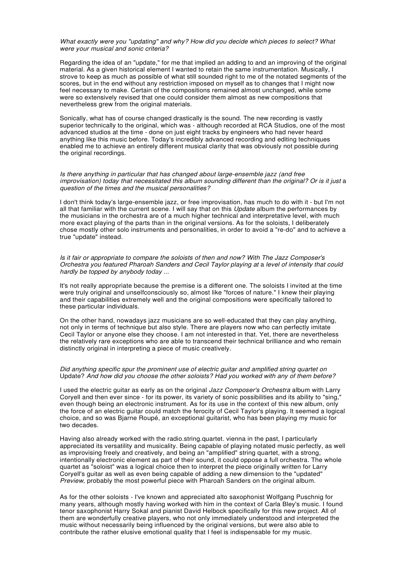# What exactly were you "updating" and why? How did you decide which pieces to select? What were your musical and sonic criteria?

Regarding the idea of an "update," for me that implied an adding to and an improving of the original material. As a given historical element I wanted to retain the same instrumentation. Musically, I strove to keep as much as possible of what still sounded right to me of the notated segments of the scores, but in the end without any restriction imposed on myself as to changes that I might now feel necessary to make. Certain of the compositions remained almost unchanged, while some were so extensively revised that one could consider them almost as new compositions that nevertheless grew from the original materials.

Sonically, what has of course changed drastically is the sound. The new recording is vastly superior technically to the original, which was - although recorded at RCA Studios, one of the most advanced studios at the time - done on just eight tracks by engineers who had never heard anything like this music before. Today's incredibly advanced recording and editing techniques enabled me to achieve an entirely different musical clarity that was obviously not possible during the original recordings.

Is there anything in particular that has changed about large-ensemble jazz (and free improvisation) today that necessitated this album sounding different than the original? Or is it just a question of the times and the musical personalities?

I don't think today's large-ensemble jazz, or free improvisation, has much to do with it - but I'm not all that familiar with the current scene. I will say that on this Update album the performances by the musicians in the orchestra are of a much higher technical and interpretative level, with much more exact playing of the parts than in the original versions. As for the soloists, I deliberately chose mostly other solo instruments and personalities, in order to avoid a "re-do" and to achieve a true "update" instead.

Is it fair or appropriate to compare the soloists of then and now? With The Jazz Composer's Orchestra you featured Pharoah Sanders and Cecil Taylor playing at a level of intensity that could hardly be topped by anybody today ...

It's not really appropriate because the premise is a different one. The soloists I invited at the time were truly original and unselfconsciously so, almost like "forces of nature." I knew their playing and their capabilities extremely well and the original compositions were specifically tailored to these particular individuals.

On the other hand, nowadays jazz musicians are so well-educated that they can play anything, not only in terms of technique but also style. There are players now who can perfectly imitate Cecil Taylor or anyone else they choose. I am not interested in that. Yet, there are nevertheless the relatively rare exceptions who are able to transcend their technical brilliance and who remain distinctly original in interpreting a piece of music creatively.

### Did anything specific spur the prominent use of electric guitar and amplified string quartet on Update? And how did you choose the other soloists? Had you worked with any of them before?

I used the electric guitar as early as on the original Jazz Composer's Orchestra album with Larry Coryell and then ever since - for its power, its variety of sonic possibilities and its ability to "sing," even though being an electronic instrument. As for its use in the context of this new album, only the force of an electric guitar could match the ferocity of Cecil Taylor's playing. It seemed a logical choice, and so was Bjarne Roupé, an exceptional guitarist, who has been playing my music for two decades.

Having also already worked with the radio.string.quartet. vienna in the past, I particularly appreciated its versatility and musicality. Being capable of playing notated music perfectly, as well as improvising freely and creatively, and being an "amplified" string quartet, with a strong, intentionally electronic element as part of their sound, it could oppose a full orchestra. The whole quartet as "soloist" was a logical choice then to interpret the piece originally written for Larry Coryell's guitar as well as even being capable of adding a new dimension to the "updated" Preview, probably the most powerful piece with Pharoah Sanders on the original album.

As for the other soloists - I've known and appreciated alto saxophonist Wolfgang Puschnig for many years, although mostly having worked with him in the context of Carla Bley's music. I found tenor saxophonist Harry Sokal and pianist David Helbock specifically for this new project. All of them are wonderfully creative players, who not only immediately understood and interpreted the music without necessarily being influenced by the original versions, but were also able to contribute the rather elusive emotional quality that I feel is indispensable for my music.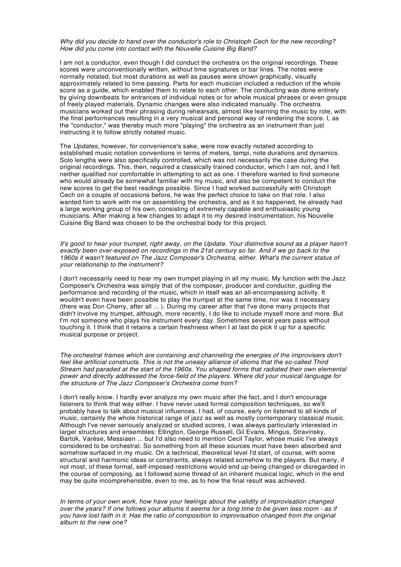## Why did you decide to hand over the conductor's role to Christoph Cech for the new recording? How did you come into contact with the Nouvelle Cuisine Big Band?

I am not a conductor, even though I did conduct the orchestra on the original recordings. These scores were unconventionally written, without time signatures or bar lines. The notes were normally notated, but most durations as well as pauses were shown graphically, visually approximately related to time passing. Parts for each musician included a reduction of the whole score as a guide, which enabled them to relate to each other. The conducting was done entirely by giving downbeats for entrances of individual notes or for whole musical phrases or even groups of freely played materials. Dynamic changes were also indicated manually. The orchestra musicians worked out their phrasing during rehearsals, almost like learning the music by rote, with the final performances resulting in a very musical and personal way of rendering the score. I, as the "conductor," was thereby much more "playing" the orchestra as an instrument than just instructing it to follow strictly notated music.

The Updates, however, for convenience's sake, were now exactly notated according to established music notation conventions in terms of meters, tempi, note durations and dynamics. Solo lengths were also specifically controlled, which was not necessarily the case during the original recordings. This, then, required a classically trained conductor, which I am not, and I felt neither qualified nor comfortable in attempting to act as one. I therefore wanted to find someone who would already be somewhat familiar with my music, and also be competent to conduct the new scores to get the best readings possible. Since I had worked successfully with Christoph Cech on a couple of occasions before, he was the perfect choice to take on that role. I also wanted him to work with me on assembling the orchestra, and as it so happened, he already had a large working group of his own, consisting of extremely capable and enthusiastic young musicians. After making a few changes to adapt it to my desired instrumentation, his Nouvelle Cuisine Big Band was chosen to be the orchestral body for this project.

It's good to hear your trumpet, right away, on the Update. Your distinctive sound as a player hasn't exactly been over-exposed on recordings in the 21st century so far. And if we go back to the 1960s it wasn't featured on The Jazz Composer's Orchestra, either. What's the current status of your relationship to the instrument?

I don't necessarily need to hear my own trumpet playing in all my music. My function with the Jazz Composer's Orchestra was simply that of the composer, producer and conductor, guiding the performance and recording of the music, which in itself was an all-encompassing activity. It wouldn't even have been possible to play the trumpet at the same time, nor was it necessary (there was Don Cherry, after all ... ). During my career after that I've done many projects that didn't involve my trumpet, although, more recently, I do like to include myself more and more. But I'm not someone who plays his instrument every day. Sometimes several years pass without touching it. I think that it retains a certain freshness when I at last do pick it up for a specific musical purpose or project.

The orchestral frames which are containing and channeling the energies of the improvisers don't feel like artificial constructs. This is not the uneasy alliance of idioms that the so-called Third Stream had paraded at the start of the 1960s. You shaped forms that radiated their own elemental power and directly addressed the force-field of the players. Where did your musical language for the structure of The Jazz Composer's Orchestra come from?

I don't really know. I hardly ever analyze my own music after the fact, and I don't encourage listeners to think that way either. I have never used formal composition techniques, so we'll probably have to talk about musical influences. I had, of course, early on listened to all kinds of music, certainly the whole historical range of jazz as well as mostly contemporary classical music. Although I've never seriously analyzed or studied scores, I was always particularly interested in larger structures and ensembles: Ellington, George Russell, Gil Evans, Mingus, Stravinsky, Bartok, Varèse, Messiaen ... but I'd also need to mention Cecil Taylor, whose music I've always considered to be orchestral. So something from all these sources must have been absorbed and somehow surfaced in my music. On a technical, theoretical level I'd start, of course, with some structural and harmonic ideas or constraints, always related somehow to the players. But many, if not most, of these formal, self-imposed restrictions would end up being changed or disregarded in the course of composing, as I followed some thread of an inherent musical logic, which in the end may be quite incomprehensible, even to me, as to how the final result was achieved.

In terms of your own work, how have your feelings about the validity of improvisation changed over the years? If one follows your albums it seems for a long time to be given less room - as if you have lost faith in it. Has the ratio of composition to improvisation changed from the original album to the new one?